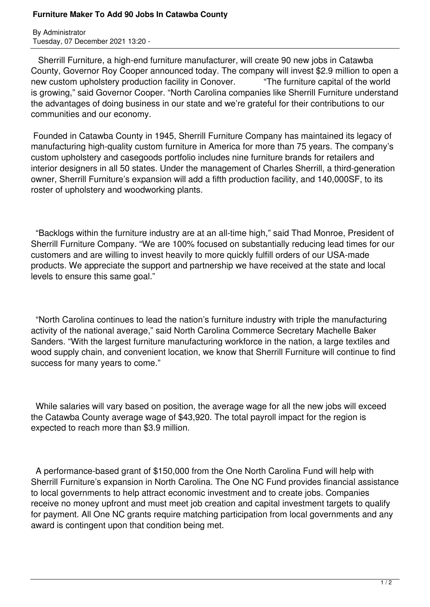## **Furniture Maker To Add 90 Jobs In Catawba County**

By Administrator Tuesday, 07 December 2021 13:20 -

 Sherrill Furniture, a high-end furniture manufacturer, will create 90 new jobs in Catawba County, Governor Roy Cooper announced today. The company will invest \$2.9 million to open a new custom upholstery production facility in Conover. "The furniture capital of the world is growing," said Governor Cooper. "North Carolina companies like Sherrill Furniture understand the advantages of doing business in our state and we're grateful for their contributions to our communities and our economy.

 Founded in Catawba County in 1945, Sherrill Furniture Company has maintained its legacy of manufacturing high-quality custom furniture in America for more than 75 years. The company's custom upholstery and casegoods portfolio includes nine furniture brands for retailers and interior designers in all 50 states. Under the management of Charles Sherrill, a third-generation owner, Sherrill Furniture's expansion will add a fifth production facility, and 140,000SF, to its roster of upholstery and woodworking plants.

 "Backlogs within the furniture industry are at an all-time high," said Thad Monroe, President of Sherrill Furniture Company. "We are 100% focused on substantially reducing lead times for our customers and are willing to invest heavily to more quickly fulfill orders of our USA-made products. We appreciate the support and partnership we have received at the state and local levels to ensure this same goal."

 "North Carolina continues to lead the nation's furniture industry with triple the manufacturing activity of the national average," said North Carolina Commerce Secretary Machelle Baker Sanders. "With the largest furniture manufacturing workforce in the nation, a large textiles and wood supply chain, and convenient location, we know that Sherrill Furniture will continue to find success for many years to come."

 While salaries will vary based on position, the average wage for all the new jobs will exceed the Catawba County average wage of \$43,920. The total payroll impact for the region is expected to reach more than \$3.9 million.

 A performance-based grant of \$150,000 from the One North Carolina Fund will help with Sherrill Furniture's expansion in North Carolina. The One NC Fund provides financial assistance to local governments to help attract economic investment and to create jobs. Companies receive no money upfront and must meet job creation and capital investment targets to qualify for payment. All One NC grants require matching participation from local governments and any award is contingent upon that condition being met.